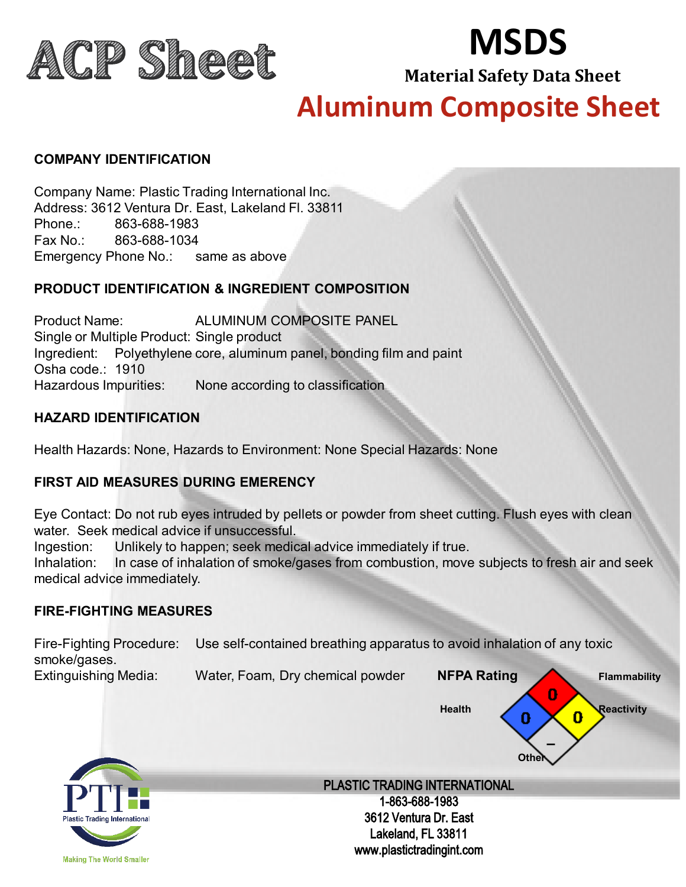

# **MSDS**

**Material Safety Data Sheet**

# **Aluminum Composite Sheet**

#### **COMPANY IDENTIFICATION**

Company Name: Plastic Trading International Inc. Address: 3612 Ventura Dr. East, Lakeland Fl. 33811 Phone.: 863-688-1983 Fax No.: 863-688-1034 Emergency Phone No.: same as above

## **PRODUCT IDENTIFICATION & INGREDIENT COMPOSITION**

Product Name: ALUMINUM COMPOSITE PANEL Single or Multiple Product: Single product Ingredient: Polyethylene core, aluminum panel, bonding film and paint Osha code.: 1910 Hazardous Impurities: None according to classification

## **HAZARD IDENTIFICATION**

Health Hazards: None, Hazards to Environment: None Special Hazards: None

## **FIRST AID MEASURES DURING EMERENCY**

Eye Contact: Do not rub eyes intruded by pellets or powder from sheet cutting. Flush eyes with clean water. Seek medical advice if unsuccessful.

Ingestion: Unlikely to happen; seek medical advice immediately if true.

Inhalation: In case of inhalation of smoke/gases from combustion, move subjects to fresh air and seek medical advice immediately.

#### **FIRE-FIGHTING MEASURES**

Fire-Fighting Procedure: Use self-contained breathing apparatus to avoid inhalation of any toxic smoke/gases. Extinguishing Media: Water, Foam, Dry chemical powder **NFPA Rating ANN Commability** 

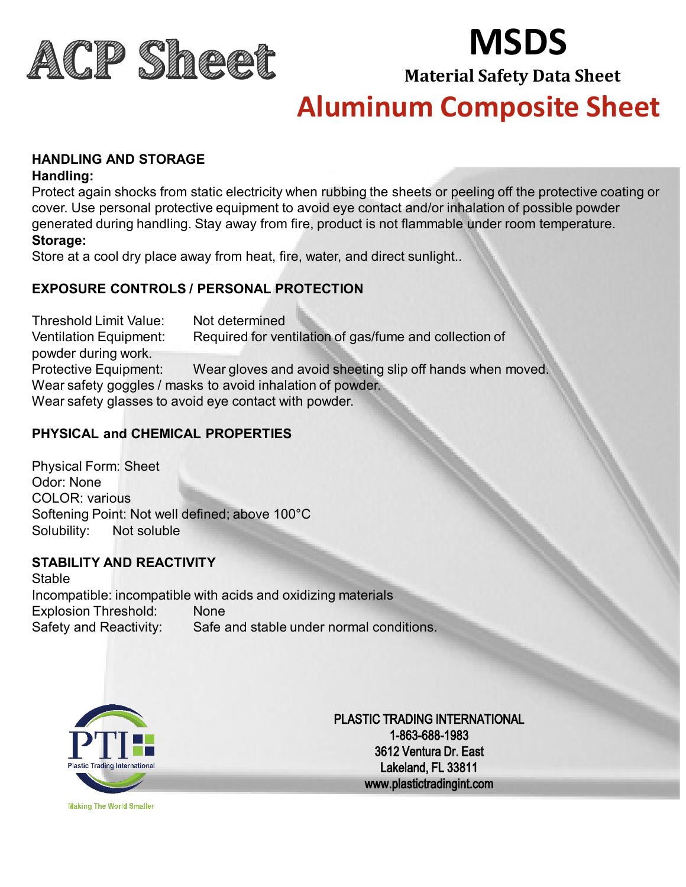

# **MSDS**

**Material Safety Data Sheet**

# **Aluminum Composite Sheet**

#### **HANDLING AND STORAGE**

**Handling:**

Protect again shocks from static electricity when rubbing the sheets or peeling off the protective coating or cover. Use personal protective equipment to avoid eye contact and/or inhalation of possible powder generated during handling. Stay away from fire, product is not flammable under room temperature. **Storage:**

Store at a cool dry place away from heat, fire, water, and direct sunlight..

## **EXPOSURE CONTROLS / PERSONAL PROTECTION**

Threshold Limit Value: Not determined Ventilation Equipment: Required for ventilation of gas/fume and collection of powder during work. Protective Equipment: Wear gloves and avoid sheeting slip off hands when moved. Wear safety goggles / masks to avoid inhalation of powder. Wear safety glasses to avoid eye contact with powder.

#### **PHYSICAL and CHEMICAL PROPERTIES**

Physical Form: Sheet Odor: None COLOR: various Softening Point: Not well defined; above 100°C Solubility: Not soluble

## **STABILITY AND REACTIVITY**

**Stable** Incompatible: incompatible with acids and oxidizing materials Explosion Threshold: None Safety and Reactivity: Safe and stable under normal conditions.



PLASTIC TRADING INTERNATIONAL 1-863-688-1983 3612 Ventura Dr. East Lakeland, FL 33811 www.plastictradingint.com

**Making The World Smaller**